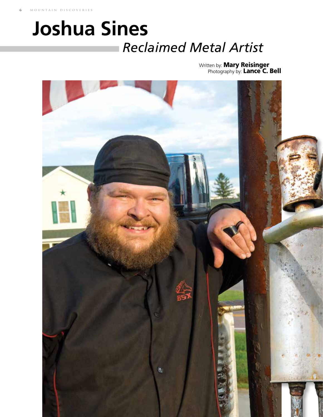## *Reclaimed Metal Artist* **Joshua Sines**

Written by: **Mary Reisinger** Photography by: Lance C. Bell

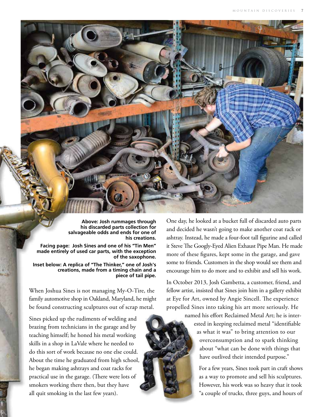

**Above: Josh rummages through his discarded parts collection for salvageable odds and ends for one of his creations.**

**Facing page: Josh Sines and one of his "Tin Men" made entirely of used car parts, with the exception of the saxophone.** 

**Inset below: A replica of "The Thinker," one of Josh's creations, made from a timing chain and a piece of tail pipe.**

When Joshua Sines is not managing My-O-Tire, the family automotive shop in Oakland, Maryland, he might be found constructing sculptures out of scrap metal.

Sines picked up the rudiments of welding and brazing from technicians in the garage and by teaching himself; he honed his metal working skills in a shop in LaVale where he needed to do this sort of work because no one else could. About the time he graduated from high school, he began making ashtrays and coat racks for practical use in the garage. (There were lots of smokers working there then, but they have all quit smoking in the last few years).

One day, he looked at a bucket full of discarded auto parts and decided he wasn't going to make another coat rack or ashtray. Instead, he made a four-foot tall figurine and called it Steve The Googly-Eyed Alien Exhaust Pipe Man. He made more of these figures, kept some in the garage, and gave some to friends. Customers in the shop would see them and encourage him to do more and to exhibit and sell his work.

In October 2013, Josh Gambetta, a customer, friend, and fellow artist, insisted that Sines join him in a gallery exhibit at Eye for Art, owned by Angie Sincell. The experience propelled Sines into taking his art more seriously. He

> named his effort Reclaimed Metal Art; he is interested in keeping reclaimed metal "identifiable as what it was" to bring attention to our overconsumption and to spark thinking about "what can be done with things that have outlived their intended purpose."

> > For a few years, Sines took part in craft shows as a way to promote and sell his sculptures. However, his work was so heavy that it took "a couple of trucks, three guys, and hours of

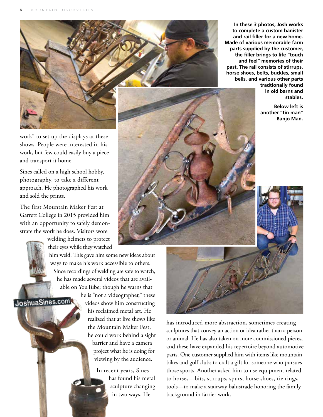

**In these 3 photos, Josh works to complete a custom banister and rail filler for a new home. Made of various memorable farm parts supplied by the customer, the filler brings to life "touch and feel" memories of their past. The rail consists of stirrups, horse shoes, belts, buckles, small bells, and various other parts** 

> **tradtionally found in old barns and stables.**

**Below left is another "tin man" – Banjo Man.**

work" to set up the displays at these shows. People were interested in his work, but few could easily buy a piece and transport it home.

Sines called on a high school hobby, photography, to take a different approach. He photographed his work and sold the prints.

The first Mountain Maker Fest at Garrett College in 2015 provided him with an opportunity to safely demonstrate the work he does. Visitors wore

JoshuaSines.com

welding helmets to protect their eyes while they watched

him weld. This gave him some new ideas about ways to make his work accessible to others. Since recordings of welding are safe to watch, he has made several videos that are available on YouTube; though he warns that

he is "not a videographer," these videos show him constructing his reclaimed metal art. He realized that at live shows like the Mountain Maker Fest, he could work behind a sight barrier and have a camera project what he is doing for viewing by the audience.

> In recent years, Sines has found his metal sculpture changing in two ways. He





has introduced more abstraction, sometimes creating sculptures that convey an action or idea rather than a person or animal. He has also taken on more commissioned pieces, and these have expanded his repertoire beyond automotive parts. One customer supplied him with items like mountain bikes and golf clubs to craft a gift for someone who pursues those sports. Another asked him to use equipment related to horses—bits, stirrups, spurs, horse shoes, tie rings, tools—to make a stairway balustrade honoring the family background in farrier work.